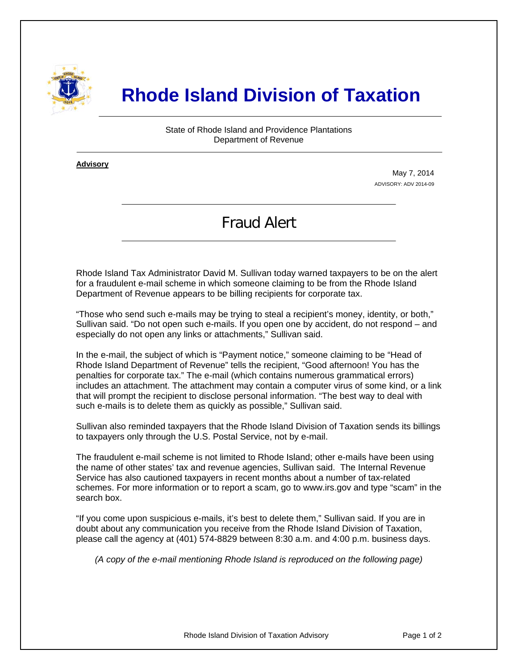

## **Rhode Island Division of Taxation**

State of Rhode Island and Providence Plantations Department of Revenue

**Advisory** ٦

i

May 7, 2014 ADVISORY: ADV 2014-09

## Fraud Alert

Rhode Island Tax Administrator David M. Sullivan today warned taxpayers to be on the alert for a fraudulent e-mail scheme in which someone claiming to be from the Rhode Island Department of Revenue appears to be billing recipients for corporate tax.

"Those who send such e-mails may be trying to steal a recipient's money, identity, or both," Sullivan said. "Do not open such e-mails. If you open one by accident, do not respond – and especially do not open any links or attachments," Sullivan said.

In the e-mail, the subject of which is "Payment notice," someone claiming to be "Head of Rhode Island Department of Revenue" tells the recipient, "Good afternoon! You has the penalties for corporate tax." The e-mail (which contains numerous grammatical errors) includes an attachment. The attachment may contain a computer virus of some kind, or a link that will prompt the recipient to disclose personal information. "The best way to deal with such e-mails is to delete them as quickly as possible," Sullivan said.

Sullivan also reminded taxpayers that the Rhode Island Division of Taxation sends its billings to taxpayers only through the U.S. Postal Service, not by e-mail.

The fraudulent e-mail scheme is not limited to Rhode Island; other e-mails have been using the name of other states' tax and revenue agencies, Sullivan said. The Internal Revenue Service has also cautioned taxpayers in recent months about a number of tax-related schemes. For more information or to report a scam, go to www.irs.gov and type "scam" in the search box.

"If you come upon suspicious e-mails, it's best to delete them," Sullivan said. If you are in doubt about any communication you receive from the Rhode Island Division of Taxation, please call the agency at (401) 574-8829 between 8:30 a.m. and 4:00 p.m. business days.

*(A copy of the e-mail mentioning Rhode Island is reproduced on the following page)*